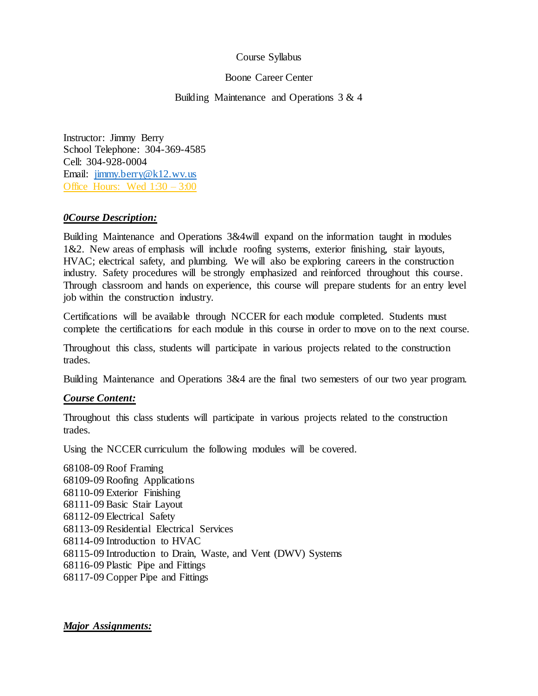### Course Syllabus

### Boone Career Center

Building Maintenance and Operations 3 & 4

Instructor: Jimmy Berry School Telephone: 304-369-4585 Cell: 304-928-0004 Email: [jimmy.berry@k12.wv.us](mailto:rpmiller@k12.wv.us) Office Hours: Wed 1:30 – 3:00

# *0Course Description:*

Building Maintenance and Operations 3&4will expand on the information taught in modules 1&2. New areas of emphasis will include roofing systems, exterior finishing, stair layouts, HVAC; electrical safety, and plumbing. We will also be exploring careers in the construction industry. Safety procedures will be strongly emphasized and reinforced throughout this course. Through classroom and hands on experience, this course will prepare students for an entry level job within the construction industry.

Certifications will be available through NCCER for each module completed. Students must complete the certifications for each module in this course in order to move on to the next course.

Throughout this class, students will participate in various projects related to the construction trades.

Building Maintenance and Operations 3&4 are the final two semesters of our two year program.

# *Course Content:*

Throughout this class students will participate in various projects related to the construction trades.

Using the NCCER curriculum the following modules will be covered.

68108-09 Roof Framing 68109-09 Roofing Applications 68110-09 Exterior Finishing 68111-09 Basic Stair Layout 68112-09 Electrical Safety 68113-09 Residential Electrical Services 68114-09 Introduction to HVAC 68115-09 Introduction to Drain, Waste, and Vent (DWV) Systems 68116-09 Plastic Pipe and Fittings 68117-09 Copper Pipe and Fittings

*Major Assignments:*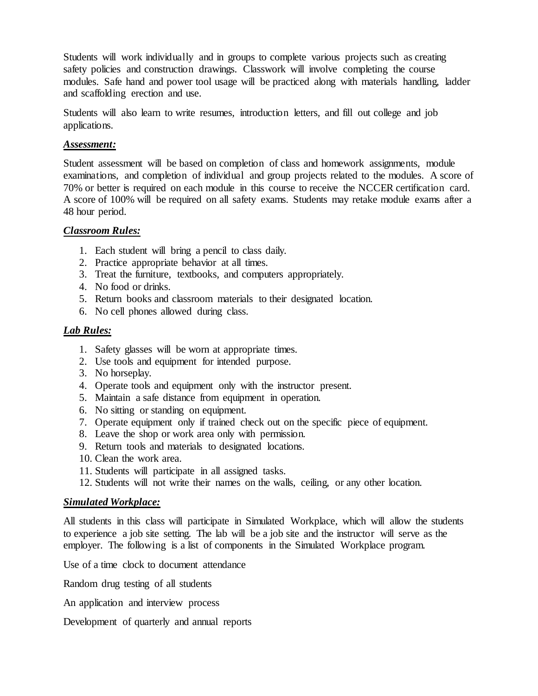Students will work individually and in groups to complete various projects such as creating safety policies and construction drawings. Classwork will involve completing the course modules. Safe hand and power tool usage will be practiced along with materials handling, ladder and scaffolding erection and use.

Students will also learn to write resumes, introduction letters, and fill out college and job applications.

# *Assessment:*

Student assessment will be based on completion of class and homework assignments, module examinations, and completion of individual and group projects related to the modules. A score of 70% or better is required on each module in this course to receive the NCCER certification card. A score of 100% will be required on all safety exams. Students may retake module exams after a 48 hour period.

### *Classroom Rules:*

- 1. Each student will bring a pencil to class daily.
- 2. Practice appropriate behavior at all times.
- 3. Treat the furniture, textbooks, and computers appropriately.
- 4. No food or drinks.
- 5. Return books and classroom materials to their designated location.
- 6. No cell phones allowed during class.

# *Lab Rules:*

- 1. Safety glasses will be worn at appropriate times.
- 2. Use tools and equipment for intended purpose.
- 3. No horseplay.
- 4. Operate tools and equipment only with the instructor present.
- 5. Maintain a safe distance from equipment in operation.
- 6. No sitting or standing on equipment.
- 7. Operate equipment only if trained check out on the specific piece of equipment.
- 8. Leave the shop or work area only with permission.
- 9. Return tools and materials to designated locations.
- 10. Clean the work area.
- 11. Students will participate in all assigned tasks.
- 12. Students will not write their names on the walls, ceiling, or any other location.

#### *Simulated Workplace:*

All students in this class will participate in Simulated Workplace, which will allow the students to experience a job site setting. The lab will be a job site and the instructor will serve as the employer. The following is a list of components in the Simulated Workplace program.

Use of a time clock to document attendance

Random drug testing of all students

An application and interview process

Development of quarterly and annual reports